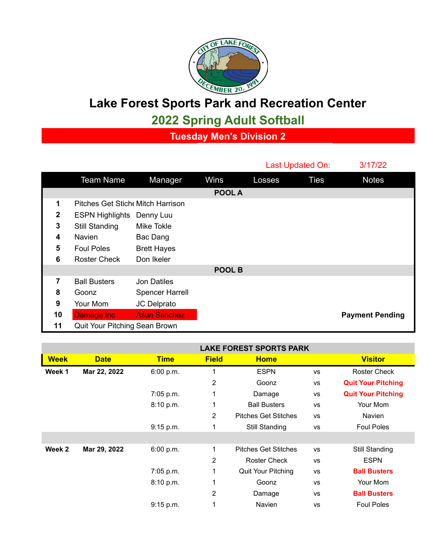

## **Lake Forest Sports Park and Recreation Center**

**2022 Spring Adult Softball**

**Tuesday Men's Division 2**

|                  |                                  |                        |        | Last Updated On: |      | 3/17/22                |  |  |
|------------------|----------------------------------|------------------------|--------|------------------|------|------------------------|--|--|
|                  | <b>Team Name</b>                 | Manager                | Wins   | Losses           | Ties | <b>Notes</b>           |  |  |
|                  |                                  |                        | POOL A |                  |      |                        |  |  |
| 1                | Pitches Get Stich Mitch Harrison |                        |        |                  |      |                        |  |  |
| $\boldsymbol{2}$ | <b>ESPN Highlights</b>           | Denny Luu              |        |                  |      |                        |  |  |
| 3                | <b>Still Standing</b>            | Mike Tokle             |        |                  |      |                        |  |  |
| 4                | <b>Navien</b>                    | Bac Dang               |        |                  |      |                        |  |  |
| 5                | <b>Foul Poles</b>                | <b>Brett Hayes</b>     |        |                  |      |                        |  |  |
| 6                | <b>Roster Check</b>              | Don Ikeler             |        |                  |      |                        |  |  |
|                  | POOL B                           |                        |        |                  |      |                        |  |  |
| 7                | <b>Ball Busters</b>              | Jon Datiles            |        |                  |      |                        |  |  |
| 8                | Goonz                            | <b>Spencer Harrell</b> |        |                  |      |                        |  |  |
| 9                | Your Mom                         | JC Delprato            |        |                  |      |                        |  |  |
| 10               | Damage Inc                       | <b>Asun Sanchez</b>    |        |                  |      | <b>Payment Pending</b> |  |  |
| 11               | Quit Your Pitching Sean Brown    |                        |        |                  |      |                        |  |  |

|             |              | <b>LAKE FOREST SPORTS PARK</b> |                |                             |           |                           |
|-------------|--------------|--------------------------------|----------------|-----------------------------|-----------|---------------------------|
| <b>Week</b> | <b>Date</b>  | <b>Time</b>                    | <b>Field</b>   | <b>Home</b>                 |           | <b>Visitor</b>            |
| Week 1      | Mar 22, 2022 | 6:00 p.m.                      | 1              | <b>ESPN</b>                 | <b>VS</b> | Roster Check              |
|             |              |                                | 2              | Goonz                       | <b>VS</b> | <b>Quit Your Pitching</b> |
|             |              | 7:05 p.m.                      | 1              | Damage                      | <b>VS</b> | <b>Quit Your Pitching</b> |
|             |              | 8:10 p.m.                      | 1              | <b>Ball Busters</b>         | <b>VS</b> | Your Mom                  |
|             |              |                                | $\overline{2}$ | <b>Pitches Get Stitches</b> | <b>VS</b> | <b>Navien</b>             |
|             |              | 9:15 p.m.                      | 1              | Still Standing              | VS        | <b>Foul Poles</b>         |
|             |              |                                |                |                             |           |                           |
| Week 2      | Mar 29, 2022 | 6:00 p.m.                      | 1              | <b>Pitches Get Stitches</b> | <b>VS</b> | Still Standing            |
|             |              |                                | 2              | Roster Check                | <b>VS</b> | <b>ESPN</b>               |
|             |              | 7:05 p.m.                      | 1              | Quit Your Pitching          | <b>VS</b> | <b>Ball Busters</b>       |
|             |              | 8:10 p.m.                      | 1              | Goonz                       | <b>VS</b> | Your Mom                  |
|             |              |                                | 2              | Damage                      | <b>VS</b> | <b>Ball Busters</b>       |
|             |              | 9:15 p.m.                      | 1              | <b>Navien</b>               | <b>VS</b> | <b>Foul Poles</b>         |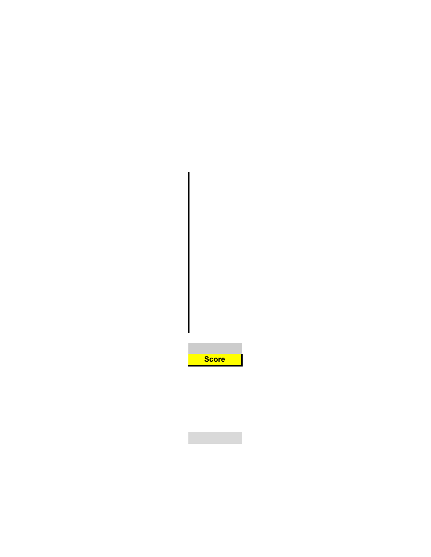| <b>Score</b> |  |  |
|--------------|--|--|

 $\mathcal{L}^{\text{max}}_{\text{max}}$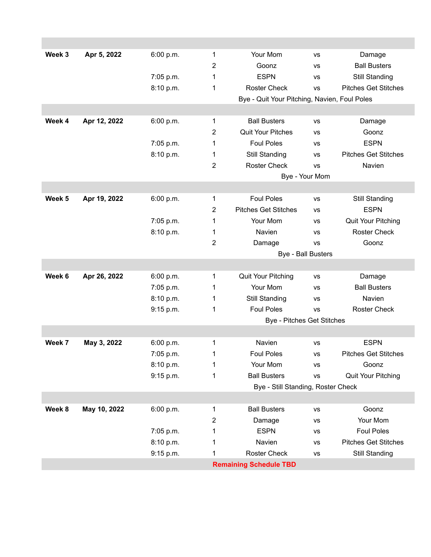| Week 3 | Apr 5, 2022  | 6:00 p.m. | 1              | Your Mom                                     | <b>VS</b>      | Damage                      |  |
|--------|--------------|-----------|----------------|----------------------------------------------|----------------|-----------------------------|--|
|        |              |           | 2              | Goonz                                        | <b>VS</b>      | <b>Ball Busters</b>         |  |
|        |              | 7:05 p.m. | 1              | <b>ESPN</b>                                  | <b>VS</b>      | Still Standing              |  |
|        |              | 8:10 p.m. | 1              | <b>Roster Check</b>                          | <b>VS</b>      | <b>Pitches Get Stitches</b> |  |
|        |              |           |                | Bye - Quit Your Pitching, Navien, Foul Poles |                |                             |  |
|        |              |           |                |                                              |                |                             |  |
| Week 4 | Apr 12, 2022 | 6:00 p.m. | 1              | <b>Ball Busters</b>                          | <b>VS</b>      | Damage                      |  |
|        |              |           | 2              | <b>Quit Your Pitches</b>                     | <b>VS</b>      | Goonz                       |  |
|        |              | 7:05 p.m. | 1              | <b>Foul Poles</b>                            | vs             | <b>ESPN</b>                 |  |
|        |              | 8:10 p.m. | 1              | Still Standing                               | <b>VS</b>      | <b>Pitches Get Stitches</b> |  |
|        |              |           | 2              | <b>Roster Check</b>                          | <b>VS</b>      | Navien                      |  |
|        |              |           |                |                                              | Bye - Your Mom |                             |  |
|        |              |           |                |                                              |                |                             |  |
| Week 5 | Apr 19, 2022 | 6:00 p.m. | 1              | <b>Foul Poles</b>                            | <b>VS</b>      | <b>Still Standing</b>       |  |
|        |              |           | $\overline{2}$ | <b>Pitches Get Stitches</b>                  | <b>VS</b>      | <b>ESPN</b>                 |  |
|        |              | 7:05 p.m. | 1              | Your Mom                                     | <b>VS</b>      | <b>Quit Your Pitching</b>   |  |
|        |              | 8:10 p.m. | 1              | Navien                                       | vs             | <b>Roster Check</b>         |  |
|        |              |           | 2              | Damage                                       | <b>VS</b>      | Goonz                       |  |
|        |              |           |                | <b>Bye - Ball Busters</b>                    |                |                             |  |
|        |              |           |                |                                              |                |                             |  |
| Week 6 | Apr 26, 2022 | 6:00 p.m. | 1              | Quit Your Pitching                           | <b>VS</b>      | Damage                      |  |
|        |              | 7:05 p.m. | 1              | Your Mom                                     | <b>VS</b>      | <b>Ball Busters</b>         |  |
|        |              | 8:10 p.m. | 1              | Still Standing                               | <b>VS</b>      | Navien                      |  |
|        |              | 9:15 p.m. | 1              | <b>Foul Poles</b>                            | <b>VS</b>      | <b>Roster Check</b>         |  |
|        |              |           |                | <b>Bye - Pitches Get Stitches</b>            |                |                             |  |
|        |              |           |                |                                              |                |                             |  |
| Week 7 | May 3, 2022  | 6:00 p.m. | 1              | Navien                                       | <b>VS</b>      | <b>ESPN</b>                 |  |
|        |              | 7:05 p.m. | 1              | <b>Foul Poles</b>                            | <b>VS</b>      | <b>Pitches Get Stitches</b> |  |
|        |              | 8:10 p.m. | 1              | Your Mom                                     | <b>VS</b>      | Goonz                       |  |
|        |              | 9:15 p.m. | 1              | <b>Ball Busters</b>                          | VS             | Quit Your Pitching          |  |
|        |              |           |                | Bye - Still Standing, Roster Check           |                |                             |  |
|        |              |           |                |                                              |                |                             |  |
| Week 8 | May 10, 2022 | 6:00 p.m. | 1              | <b>Ball Busters</b>                          | <b>VS</b>      | Goonz                       |  |
|        |              |           | $\overline{2}$ | Damage                                       | <b>VS</b>      | Your Mom                    |  |
|        |              | 7:05 p.m. | 1              | <b>ESPN</b>                                  | <b>VS</b>      | <b>Foul Poles</b>           |  |
|        |              | 8:10 p.m. | 1              | Navien                                       | <b>VS</b>      | <b>Pitches Get Stitches</b> |  |
|        |              | 9:15 p.m. | 1              | <b>Roster Check</b>                          | <b>VS</b>      | <b>Still Standing</b>       |  |
|        |              |           |                | <b>Remaining Schedule TBD</b>                |                |                             |  |